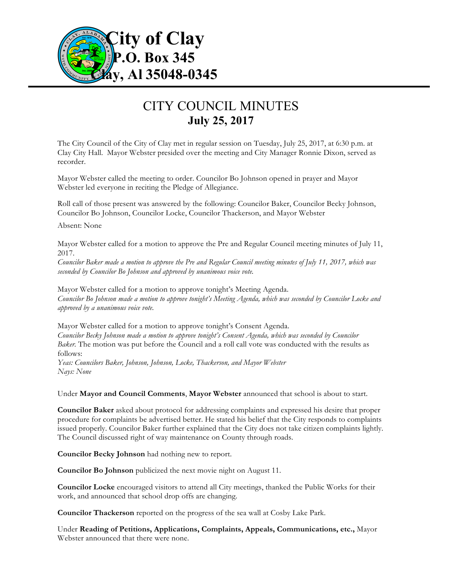

## CITY COUNCIL MINUTES **July 25, 2017**

The City Council of the City of Clay met in regular session on Tuesday, July 25, 2017, at 6:30 p.m. at Clay City Hall. Mayor Webster presided over the meeting and City Manager Ronnie Dixon, served as recorder.

Mayor Webster called the meeting to order. Councilor Bo Johnson opened in prayer and Mayor Webster led everyone in reciting the Pledge of Allegiance.

Roll call of those present was answered by the following: Councilor Baker, Councilor Becky Johnson, Councilor Bo Johnson, Councilor Locke, Councilor Thackerson, and Mayor Webster

Absent: None

Mayor Webster called for a motion to approve the Pre and Regular Council meeting minutes of July 11, 2017.

*Councilor Baker made a motion to approve the Pre and Regular Council meeting minutes of July 11, 2017, which was seconded by Councilor Bo Johnson and approved by unanimous voice vote.*

Mayor Webster called for a motion to approve tonight's Meeting Agenda. *Councilor Bo Johnson made a motion to approve tonight's Meeting Agenda, which was seconded by Councilor Locke and approved by a unanimous voice vote.*

Mayor Webster called for a motion to approve tonight's Consent Agenda. *Councilor Becky Johnson made a motion to approve tonight's Consent Agenda, which was seconded by Councilor Baker.* The motion was put before the Council and a roll call vote was conducted with the results as follows:

*Yeas: Councilors Baker, Johnson, Johnson, Locke, Thackerson, and Mayor Webster Nays: None*

Under **Mayor and Council Comments**, **Mayor Webster** announced that school is about to start.

**Councilor Baker** asked about protocol for addressing complaints and expressed his desire that proper procedure for complaints be advertised better. He stated his belief that the City responds to complaints issued properly. Councilor Baker further explained that the City does not take citizen complaints lightly. The Council discussed right of way maintenance on County through roads.

**Councilor Becky Johnson** had nothing new to report.

**Councilor Bo Johnson** publicized the next movie night on August 11.

**Councilor Locke** encouraged visitors to attend all City meetings, thanked the Public Works for their work, and announced that school drop offs are changing.

**Councilor Thackerson** reported on the progress of the sea wall at Cosby Lake Park.

Under **Reading of Petitions, Applications, Complaints, Appeals, Communications, etc.,** Mayor Webster announced that there were none.